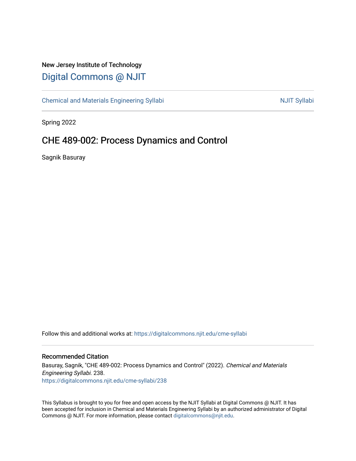## New Jersey Institute of Technology [Digital Commons @ NJIT](https://digitalcommons.njit.edu/)

[Chemical and Materials Engineering Syllabi](https://digitalcommons.njit.edu/cme-syllabi) Nulle and Syllabi Nulle Syllabi Nulle Syllabi Nulle Syllabi Nulle Syllabi

Spring 2022

# CHE 489-002: Process Dynamics and Control

Sagnik Basuray

Follow this and additional works at: [https://digitalcommons.njit.edu/cme-syllabi](https://digitalcommons.njit.edu/cme-syllabi?utm_source=digitalcommons.njit.edu%2Fcme-syllabi%2F238&utm_medium=PDF&utm_campaign=PDFCoverPages) 

## Recommended Citation

Basuray, Sagnik, "CHE 489-002: Process Dynamics and Control" (2022). Chemical and Materials Engineering Syllabi. 238. [https://digitalcommons.njit.edu/cme-syllabi/238](https://digitalcommons.njit.edu/cme-syllabi/238?utm_source=digitalcommons.njit.edu%2Fcme-syllabi%2F238&utm_medium=PDF&utm_campaign=PDFCoverPages) 

This Syllabus is brought to you for free and open access by the NJIT Syllabi at Digital Commons @ NJIT. It has been accepted for inclusion in Chemical and Materials Engineering Syllabi by an authorized administrator of Digital Commons @ NJIT. For more information, please contact [digitalcommons@njit.edu.](mailto:digitalcommons@njit.edu)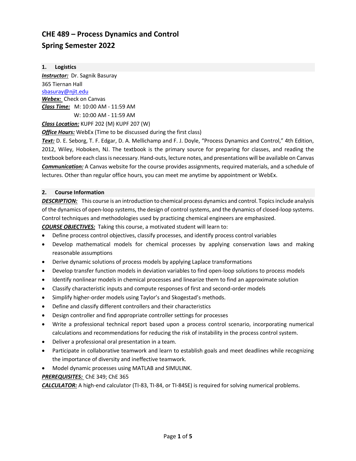## **CHE 489 – Process Dynamics and Control Spring Semester 2022**

**1. Logistics** *Instructor:* Dr. Sagnik Basuray 365 Tiernan Hall [sbasuray@njit.edu](mailto:sbasuray@njit.edu) *Webex:* Check on Canvas *Class Time:* M: 10:00 AM - 11:59 AM W: 10:00 AM - 11:59 AM

*Class Location:* KUPF 202 (M) KUPF 207 (W)

*Office Hours:* WebEx (Time to be discussed during the first class)

*Text:* D. E. Seborg, T. F. Edgar, D. A. Mellichamp and F. J. Doyle, "Process Dynamics and Control," 4th Edition, 2012, Wiley, Hoboken, NJ. The textbook is the primary source for preparing for classes, and reading the textbook before each class is necessary. Hand-outs, lecture notes, and presentations will be available on Canvas *Communication:* A Canvas website for the course provides assignments, required materials, and a schedule of lectures. Other than regular office hours, you can meet me anytime by appointment or WebEx.

## **2. Course Information**

*DESCRIPTION:* This course is an introduction to chemical process dynamics and control. Topics include analysis of the dynamics of open-loop systems, the design of control systems, and the dynamics of closed-loop systems. Control techniques and methodologies used by practicing chemical engineers are emphasized.

*COURSE OBJECTIVES:* Taking this course, a motivated student will learn to:

- Define process control objectives, classify processes, and identify process control variables
- Develop mathematical models for chemical processes by applying conservation laws and making reasonable assumptions
- Derive dynamic solutions of process models by applying Laplace transformations
- Develop transfer function models in deviation variables to find open-loop solutions to process models
- Identify nonlinear models in chemical processes and linearize them to find an approximate solution
- Classify characteristic inputs and compute responses of first and second-order models
- Simplify higher-order models using Taylor's and Skogestad's methods.
- Define and classify different controllers and their characteristics
- Design controller and find appropriate controller settings for processes
- Write a professional technical report based upon a process control scenario, incorporating numerical calculations and recommendations for reducing the risk of instability in the process control system.
- Deliver a professional oral presentation in a team.
- Participate in collaborative teamwork and learn to establish goals and meet deadlines while recognizing the importance of diversity and ineffective teamwork.
- Model dynamic processes using MATLAB and SIMULINK.

## *PREREQUISITES:* ChE 349; ChE 365

*CALCULATOR:* A high-end calculator (TI-83, TI-84, or TI-84SE) is required for solving numerical problems.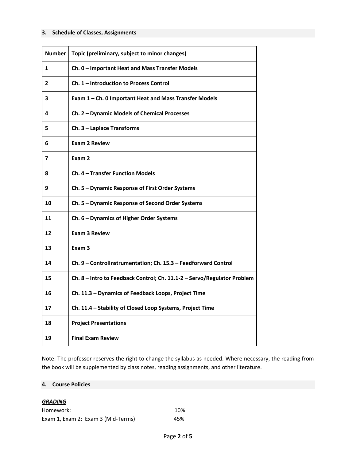#### **3. Schedule of Classes, Assignments**

| <b>Number</b> | Topic (preliminary, subject to minor changes)                           |
|---------------|-------------------------------------------------------------------------|
| 1             | Ch. 0 - Important Heat and Mass Transfer Models                         |
| 2             | Ch. 1 – Introduction to Process Control                                 |
| 3             | Exam 1 - Ch. 0 Important Heat and Mass Transfer Models                  |
| 4             | Ch. 2 - Dynamic Models of Chemical Processes                            |
| 5             | Ch. 3 - Laplace Transforms                                              |
| 6             | <b>Exam 2 Review</b>                                                    |
| 7             | Exam 2                                                                  |
| 8             | Ch. 4 - Transfer Function Models                                        |
| 9             | Ch. 5 - Dynamic Response of First Order Systems                         |
| 10            | Ch. 5 - Dynamic Response of Second Order Systems                        |
| 11            | Ch. 6 - Dynamics of Higher Order Systems                                |
| 12            | <b>Exam 3 Review</b>                                                    |
| 13            | Exam <sub>3</sub>                                                       |
| 14            | Ch. 9 - Controllnstrumentation; Ch. 15.3 - Feedforward Control          |
| 15            | Ch. 8 - Intro to Feedback Control; Ch. 11.1-2 - Servo/Regulator Problem |
| 16            | Ch. 11.3 - Dynamics of Feedback Loops, Project Time                     |
| 17            | Ch. 11.4 - Stability of Closed Loop Systems, Project Time               |
| 18            | <b>Project Presentations</b>                                            |
| 19            | <b>Final Exam Review</b>                                                |

Note: The professor reserves the right to change the syllabus as needed. Where necessary, the reading from the book will be supplemented by class notes, reading assignments, and other literature.

## **4. Course Policies**

#### *GRADING*

| Homework:                          | 10% |
|------------------------------------|-----|
| Exam 1, Exam 2: Exam 3 (Mid-Terms) | 45% |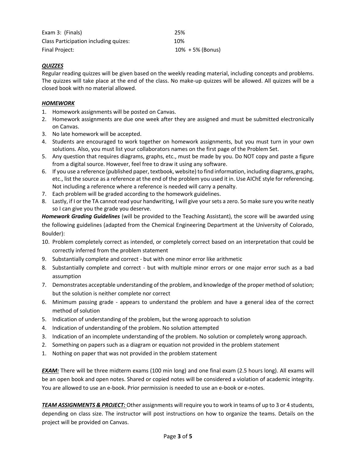| Exam 3: (Finals)                      | 25%                  |
|---------------------------------------|----------------------|
| Class Participation including quizes: | 10%                  |
| Final Project:                        | $10\% + 5\%$ (Bonus) |

## *QUIZZES*

Regular reading quizzes will be given based on the weekly reading material, including concepts and problems. The quizzes will take place at the end of the class. No make-up quizzes will be allowed. All quizzes will be a closed book with no material allowed.

## *HOMEWORK*

- 1. Homework assignments will be posted on Canvas.
- 2. Homework assignments are due one week after they are assigned and must be submitted electronically on Canvas.
- 3. No late homework will be accepted.
- 4. Students are encouraged to work together on homework assignments, but you must turn in your own solutions. Also, you must list your collaborators names on the first page of the Problem Set.
- 5. Any question that requires diagrams, graphs, etc., must be made by you. Do NOT copy and paste a figure from a digital source. However, feel free to draw it using any software.
- 6. If you use a reference (published paper, textbook, website) to find information, including diagrams, graphs, etc., list the source as a reference at the end of the problem you used it in. Use AIChE style for referencing. Not including a reference where a reference is needed will carry a penalty.
- 7. Each problem will be graded according to the homework guidelines.
- 8. Lastly, if I or the TA cannot read your handwriting, I will give your sets a zero. So make sure you write neatly so I can give you the grade you deserve.

*Homework Grading Guidelines* (will be provided to the Teaching Assistant), the score will be awarded using the following guidelines (adapted from the Chemical Engineering Department at the University of Colorado, Boulder):

- 10. Problem completely correct as intended, or completely correct based on an interpretation that could be correctly inferred from the problem statement
- 9. Substantially complete and correct but with one minor error like arithmetic
- 8. Substantially complete and correct but with multiple minor errors or one major error such as a bad assumption
- 7. Demonstrates acceptable understanding of the problem, and knowledge of the proper method of solution; but the solution is neither complete nor correct
- 6. Minimum passing grade appears to understand the problem and have a general idea of the correct method of solution
- 5. Indication of understanding of the problem, but the wrong approach to solution
- 4. Indication of understanding of the problem. No solution attempted
- 3. Indication of an incomplete understanding of the problem. No solution or completely wrong approach.
- 2. Something on papers such as a diagram or equation not provided in the problem statement
- 1. Nothing on paper that was not provided in the problem statement

*EXAM:* There will be three midterm exams (100 min long) and one final exam (2.5 hours long). All exams will be an open book and open notes. Shared or copied notes will be considered a violation of academic integrity. You are allowed to use an e-book. Prior permission is needed to use an e-book or e-notes.

*TEAM ASSIGNMENTS & PROJECT:* Other assignments will require you to work in teams of up to 3 or 4 students, depending on class size. The instructor will post instructions on how to organize the teams. Details on the project will be provided on Canvas.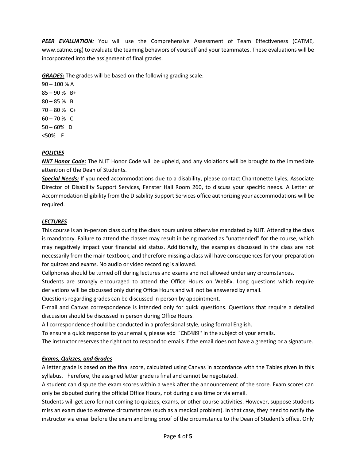*PEER EVALUATION:* You will use the Comprehensive Assessment of Team Effectiveness (CATME, www.catme.org) to evaluate the teaming behaviors of yourself and your teammates. These evaluations will be incorporated into the assignment of final grades.

**GRADES:** The grades will be based on the following grading scale:

90 – 100 % A  $85 - 90 \%$  B+  $80 - 85 \%$  B  $70 - 80 \%$  C+  $60 - 70 %$  C  $50 - 60\%$  D <50% F

## *POLICIES*

*NJIT Honor Code:* The NJIT Honor Code will be upheld, and any violations will be brought to the immediate attention of the Dean of Students.

*Special Needs:* If you need accommodations due to a disability, please contact Chantonette Lyles, Associate Director of Disability Support Services, Fenster Hall Room 260, to discuss your specific needs. A Letter of Accommodation Eligibility from the Disability Support Services office authorizing your accommodations will be required.

## *LECTURES*

This course is an in-person class during the class hours unless otherwise mandated by NJIT. Attending the class is mandatory. Failure to attend the classes may result in being marked as "unattended" for the course, which may negatively impact your financial aid status. Additionally, the examples discussed in the class are not necessarily from the main textbook, and therefore missing a class will have consequences for your preparation for quizzes and exams. No audio or video recording is allowed.

Cellphones should be turned off during lectures and exams and not allowed under any circumstances.

Students are strongly encouraged to attend the Office Hours on WebEx. Long questions which require derivations will be discussed only during Office Hours and will not be answered by email.

Questions regarding grades can be discussed in person by appointment.

E-mail and Canvas correspondence is intended only for quick questions. Questions that require a detailed discussion should be discussed in person during Office Hours.

All correspondence should be conducted in a professional style, using formal English.

To ensure a quick response to your emails, please add ``ChE489'' in the subject of your emails.

The instructor reserves the right not to respond to emails if the email does not have a greeting or a signature.

## *Exams, Quizzes, and Grades*

A letter grade is based on the final score, calculated using Canvas in accordance with the Tables given in this syllabus. Therefore, the assigned letter grade is final and cannot be negotiated.

A student can dispute the exam scores within a week after the announcement of the score. Exam scores can only be disputed during the official Office Hours, not during class time or via email.

Students will get zero for not coming to quizzes, exams, or other course activities. However, suppose students miss an exam due to extreme circumstances (such as a medical problem). In that case, they need to notify the instructor via email before the exam and bring proof of the circumstance to the Dean of Student's office. Only